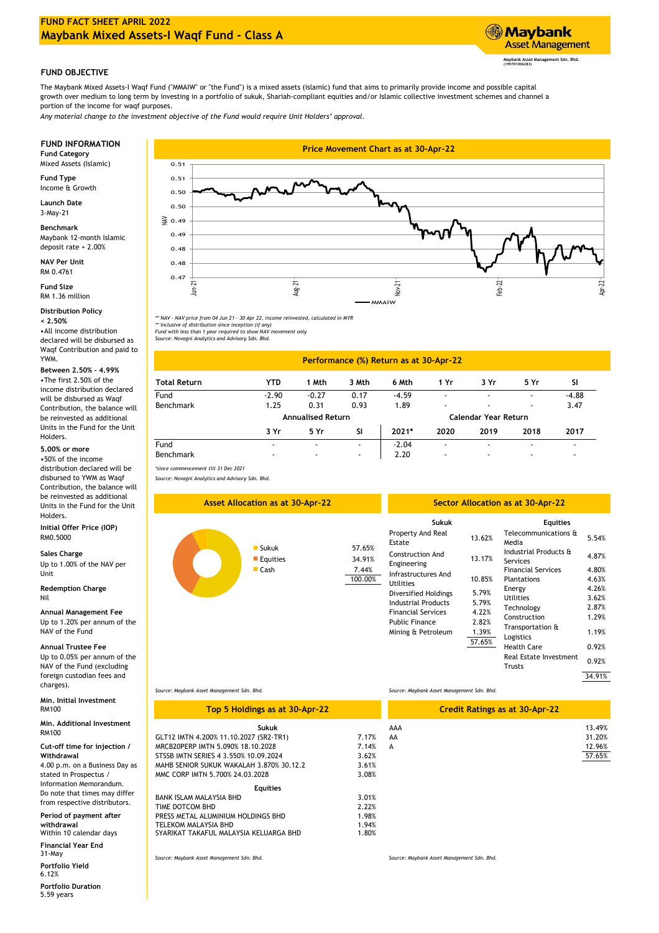

# **FUND OBJECTIVE**

The Maybank Mixed Assets-I Waqf Fund ("MMAIW" or "the Fund") is a mixed assets (islamic) fund that aims to primarily provide income and possible capital growth over medium to long term by investing in a portfolio of sukuk, Shariah-compliant equities and/or Islamic collective investment schemes and channel a portion of the income for waqf purposes.

*Any material change to the investment objective of the Fund would require Unit Holders' approval.* 

Mixed Assets (Islamic)

**Fund Type** Income & Growth

**Launch Date** 3-May-21

Maybank 12-month Islamic deposit rate + 2.00% **Benchmark**

**NAV Per Unit** RM 0.4761

**Fund Size** RM 1.36 million

**Distribution Policy**

•All income distribution declared will be disbursed as Waqf Contribution and paid to **< 2.50%**

**Between 2.50% - 4.99%**

### **5.00% or more**

•50% of the income distribution declared will be disbursed to YWM as Waqf Contribution, the balance will be reinvested as additional Units in the Fund for the Unit Holders.

**Initial Offer Price (IOP)** RM0.5000

## **Sales Charge**

Up to 1.00% of the NAV per Unit

**Redemption Charge** Nil

**Annual Management Fee** Up to 1.20% per annum of the NAV of the Fund

**Annual Trustee Fee**

Up to 0.05% per annum of the NAV of the Fund (excluding foreign custodian fees and charges).

**Min. Initial Investment** RM100

**Sukuk Min. Additional Investment** RM100

**Cut-off time for injection /** 

**Withdrawal** 4.00 p.m. on a Business Day as stated in Prospectus / Information Memorandum. Do note that times may differ bo note that the smay different  $\begin{bmatrix} BA \\ \overline{a} \end{bmatrix}$ 

**Period of payment after withdrawal** Within 10 calendar days

31-May **Financial Year End**

**Portfolio Yield** 6.12%

5.59 years **Portfolio Duration**



*\*\* NAV - NAV price from 04 Jun 21 - 30 Apr 22, income reinvested, calculated in MYR \*\* Inclusive of distribution since inception (if any)* 

*Fund with less than 1 year required to show NAV movement only Source: Novagni Analytics and Advisory Sdn. Bhd.*

# YWM. **Performance (%) Return as at 30-Apr-22**

| Total Return     | YTD                      | Mth                      | 3 Mth                    | 6 Mth   | 1 Yr                     | 3 Yr | 5 Yr                     | SI      |  |
|------------------|--------------------------|--------------------------|--------------------------|---------|--------------------------|------|--------------------------|---------|--|
| Fund             | $-2.90$                  | $-0.27$                  | 0.17                     | $-4.59$ |                          |      | $\overline{\phantom{a}}$ | $-4.88$ |  |
| <b>Benchmark</b> | 1.25                     | 0.31                     | 0.93                     | 1.89    |                          |      | $\overline{\phantom{0}}$ | 3.47    |  |
|                  | <b>Annualised Return</b> |                          |                          |         | Calendar Year Return     |      |                          |         |  |
|                  | 3 Yr                     | 5 Yr                     | SI                       | $2021*$ | 2020                     | 2019 | 2018                     | 2017    |  |
| Fund             |                          | $\overline{\phantom{a}}$ | $\overline{\phantom{0}}$ | $-2.04$ |                          |      | $\overline{\phantom{0}}$ |         |  |
| <b>Benchmark</b> | -                        | $\overline{\phantom{a}}$ | $\overline{\phantom{0}}$ | 2.20    | $\overline{\phantom{a}}$ |      | $\overline{\phantom{a}}$ |         |  |
|                  |                          |                          |                          |         |                          |      |                          |         |  |

*\*since commencement till 31 Dec 2021 Source: Novagni Analytics and Advisory Sdn. Bhd.*



*Source: Maybank Asset Management Sdn. Bhd.*

*Source: Maybank Asset Management Sdn. Bhd.*

| Top 5 Holdings as at 30-Apr-22           |       |     | <b>Credit Ratings as at 30-Apr-22</b> |        |
|------------------------------------------|-------|-----|---------------------------------------|--------|
| Sukuk                                    |       | AAA |                                       | 13.49% |
| GLT12 IMTN 4.200% 11.10.2027 (SR2-TR1)   | 7.17% | AA  |                                       | 31.20% |
| MRCB20PERP IMTN 5.090% 18.10.2028        | 7.14% | A   |                                       | 12.96% |
| STSSB IMTN SERIES 4 3.550% 10.09.2024    | 3.62% |     |                                       | 57.65% |
| MAHB SENIOR SUKUK WAKALAH 3.870% 30.12.2 | 3.61% |     |                                       |        |
| MMC CORP IMTN 5.700% 24.03.2028          | 3.08% |     |                                       |        |
| <b>Equities</b>                          |       |     |                                       |        |
| BANK ISLAM MALAYSIA BHD                  | 3.01% |     |                                       |        |
| TIME DOTCOM BHD                          | 2.22% |     |                                       |        |
| PRESS METAL ALUMINIUM HOLDINGS BHD       | 1.98% |     |                                       |        |
| TELEKOM MALAYSIA BHD                     | 1.94% |     |                                       |        |
| SYARIKAT TAKAFUL MALAYSIA KELUARGA BHD   | 1.80% |     |                                       |        |

*Source: Maybank Asset Management Sdn. Bhd. Source: Maybank Asset Management Sdn. Bhd.*